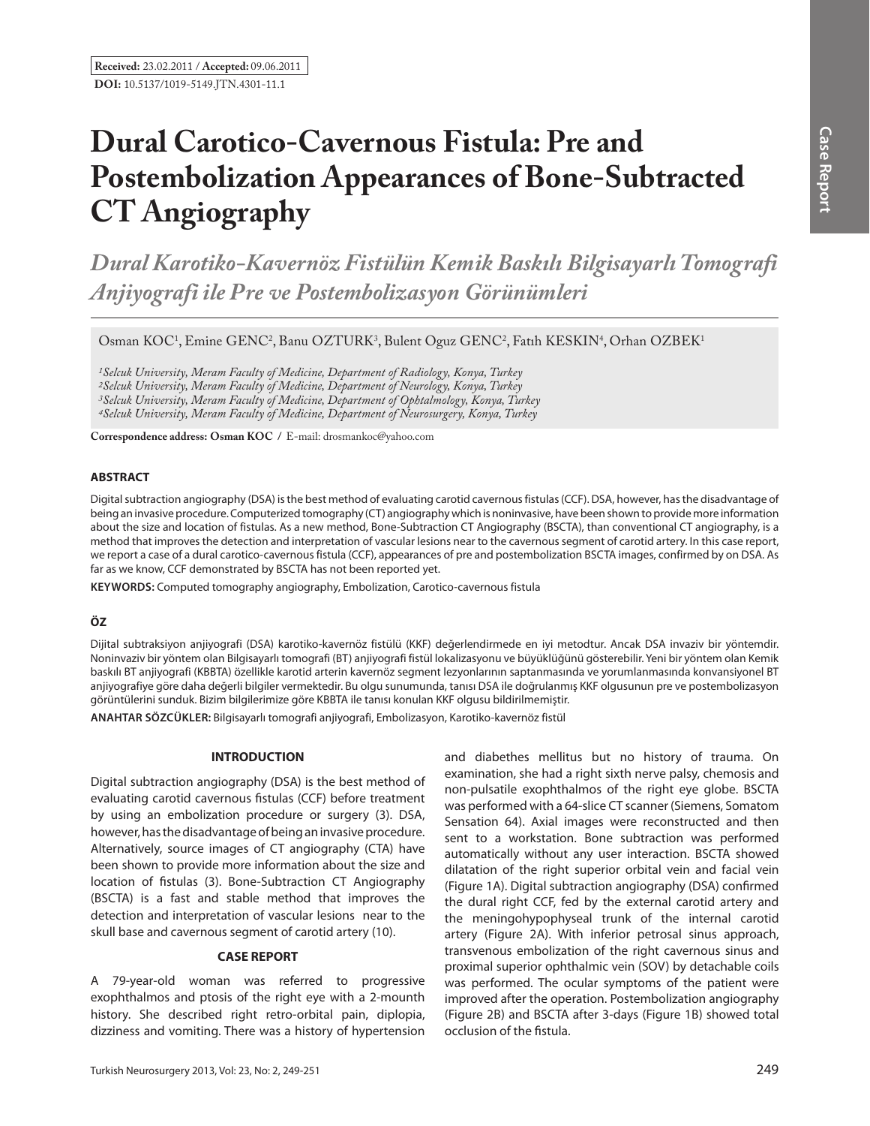# **Dural Carotico-Cavernous Fistula: Pre and Postembolization Appearances of Bone-Subtracted CT Angiography**

*Dural Karotiko-Kavernöz Fistülün Kemik Baskılı Bilgisayarlı Tomografi Anjiyografi ile Pre ve Postembolizasyon Görünümleri* 

Osman KOC<sup>1</sup>, Emine GENC<sup>2</sup>, Banu OZTURK<sup>3</sup>, Bulent Oguz GENC<sup>2</sup>, Fatih KESKIN<sup>4</sup>, Orhan OZBEK<sup>1</sup>

*1Selcuk University, Meram Faculty of Medicine, Department of Radiology, Konya, Turkey*

*2Selcuk University, Meram Faculty of Medicine, Department of Neurology, Konya, Turkey*

*3Selcuk University, Meram Faculty of Medicine, Department of Ophtalmology, Konya, Turkey*

*4Selcuk University, Meram Faculty of Medicine, Department of Neurosurgery, Konya, Turkey*

**Correspondence address: Osman Koc /** E-mail: drosmankoc@yahoo.com

## **ABSTRACT**

Digital subtraction angiography (DSA) is the best method of evaluating carotid cavernous fistulas (CCF). DSA, however, has the disadvantage of being an invasive procedure. Computerized tomography (CT) angiography which is noninvasive, have been shown to provide more information about the size and location of fistulas. As a new method, Bone-Subtraction CT Angiography (BSCTA), than conventional CT angiography, is a method that improves the detection and interpretation of vascular lesions near to the cavernous segment of carotid artery. In this case report, we report a case of a dural carotico-cavernous fistula (CCF), appearances of pre and postembolization BSCTA images, confirmed by on DSA. As far as we know, CCF demonstrated by BSCTA has not been reported yet.

**Keywords:** Computed tomography angiography, Embolization, Carotico-cavernous fistula

## **ÖZ**

Dijital subtraksiyon anjiyografi (DSA) karotiko-kavernöz fistülü (KKF) değerlendirmede en iyi metodtur. Ancak DSA invaziv bir yöntemdir. Noninvaziv bir yöntem olan Bilgisayarlı tomografi (BT) anjiyografi fistül lokalizasyonu ve büyüklüğünü gösterebilir. Yeni bir yöntem olan Kemik baskılı BT anjiyografi (KBBTA) özellikle karotid arterin kavernöz segment lezyonlarının saptanmasında ve yorumlanmasında konvansiyonel BT anjiyografiye göre daha değerli bilgiler vermektedir. Bu olgu sunumunda, tanısı DSA ile doğrulanmış KKF olgusunun pre ve postembolizasyon görüntülerini sunduk. Bizim bilgilerimize göre KBBTA ile tanısı konulan KKF olgusu bildirilmemiştir.

**ANAHTAR SÖZCÜKLER:** Bilgisayarlı tomografi anjiyografi, Embolizasyon, Karotiko-kavernöz fistül

### **INTRODUCTION**

Digital subtraction angiography (DSA) is the best method of evaluating carotid cavernous fistulas (CCF) before treatment by using an embolization procedure or surgery (3). DSA, however, has the disadvantage of being an invasive procedure. Alternatively, source images of CT angiography (CTA) have been shown to provide more information about the size and location of fistulas (3). Bone-Subtraction CT Angiography (BSCTA) is a fast and stable method that improves the detection and interpretation of vascular lesions near to the skull base and cavernous segment of carotid artery (10).

## **CASE REPORT**

A 79-year-old woman was referred to progressive exophthalmos and ptosis of the right eye with a 2-mounth history. She described right retro-orbital pain, diplopia, dizziness and vomiting. There was a history of hypertension and diabethes mellitus but no history of trauma. On examination, she had a right sixth nerve palsy, chemosis and non-pulsatile exophthalmos of the right eye globe. BSCTA was performed with a 64-slice CT scanner (Siemens, Somatom Sensation 64). Axial images were reconstructed and then sent to a workstation. Bone subtraction was performed automatically without any user interaction. BSCTA showed dilatation of the right superior orbital vein and facial vein (Figure 1a). Digital subtraction angiography (DSA) confirmed the dural right CCF, fed by the external carotid artery and the meningohypophyseal trunk of the internal carotid artery (Figure 2a). With inferior petrosal sinus approach, transvenous embolization of the right cavernous sinus and proximal superior ophthalmic vein (SOV) by detachable coils was performed. The ocular symptoms of the patient were improved after the operation. Postembolization angiography (Figure 2b) and BSCTA after 3-days (Figure 1b) showed total occlusion of the fistula.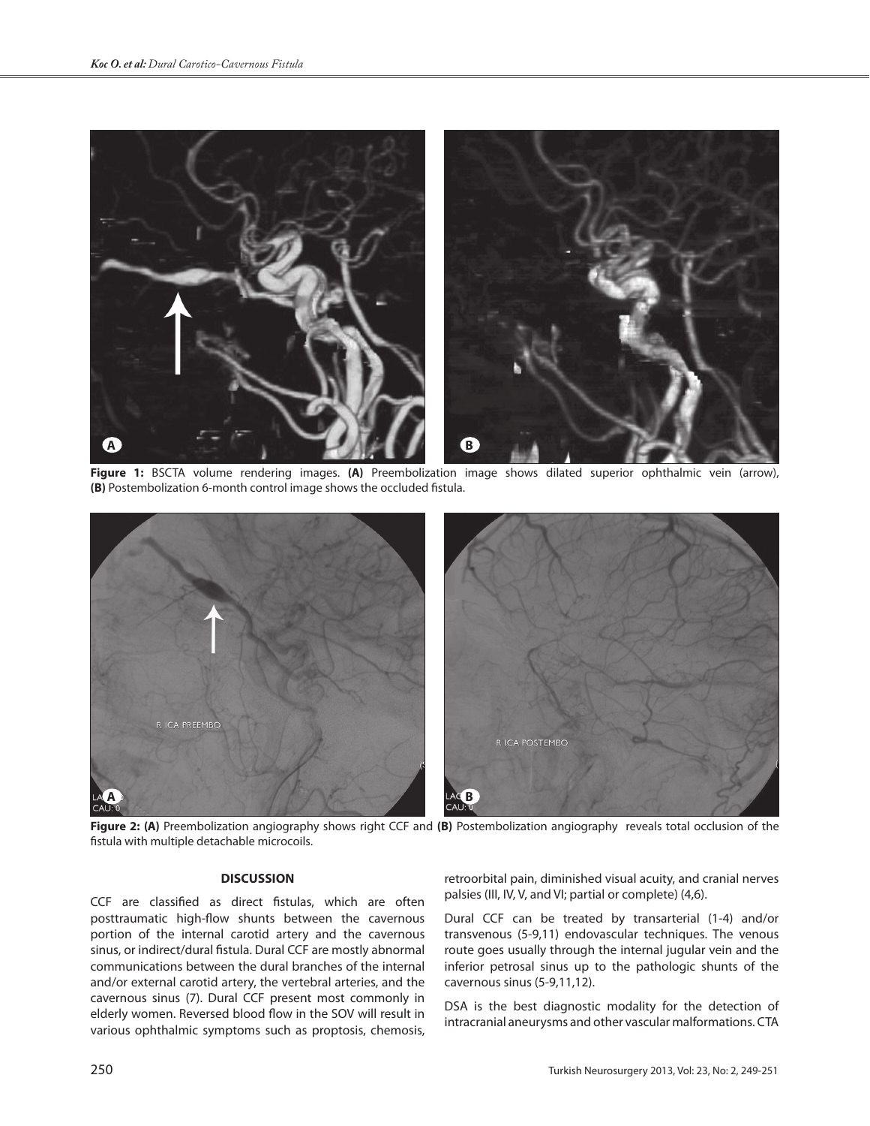

**Figure 1:** BSCTA volume rendering images. **(A)** Preembolization image shows dilated superior ophthalmic vein (arrow), **(B)** Postembolization 6-month control image shows the occluded fistula.



**Figure 2: (A)** Preembolization angiography shows right CCF and **(B)** Postembolization angiography reveals total occlusion of the fistula with multiple detachable microcoils.

## **DISCUSSION**

CCF are classified as direct fistulas, which are often posttraumatic high-flow shunts between the cavernous portion of the internal carotid artery and the cavernous sinus, or indirect/dural fistula. Dural CCF are mostly abnormal communications between the dural branches of the internal and/or external carotid artery, the vertebral arteries, and the cavernous sinus (7). Dural CCF present most commonly in elderly women. Reversed blood flow in the SOV will result in various ophthalmic symptoms such as proptosis, chemosis,

retroorbital pain, diminished visual acuity, and cranial nerves palsies (III, IV, V, and VI; partial or complete) (4,6).

Dural CCF can be treated by transarterial (1-4) and/or transvenous (5-9,11) endovascular techniques. The venous route goes usually through the internal jugular vein and the inferior petrosal sinus up to the pathologic shunts of the cavernous sinus (5-9,11,12).

DSA is the best diagnostic modality for the detection of intracranial aneurysms and other vascular malformations. CTA